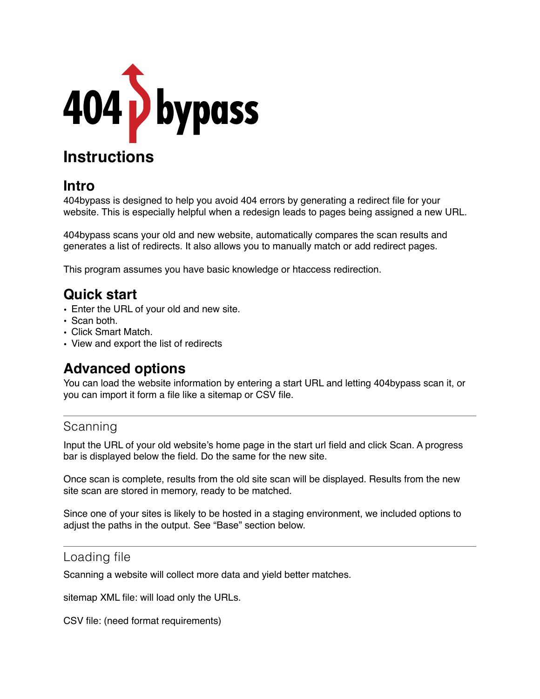

# **Instructions**

# **Intro**

404bypass is designed to help you avoid 404 errors by generating a redirect file for your website. This is especially helpful when a redesign leads to pages being assigned a new URL.

404bypass scans your old and new website, automatically compares the scan results and generates a list of redirects. It also allows you to manually match or add redirect pages.

This program assumes you have basic knowledge or htaccess redirection.

# **Quick start**

- Enter the URL of your old and new site.
- Scan both.
- Click Smart Match.
- View and export the list of redirects

# **Advanced options**

You can load the website information by entering a start URL and letting 404bypass scan it, or you can import it form a file like a sitemap or CSV file.

## Scanning

Input the URL of your old website's home page in the start url field and click Scan. A progress bar is displayed below the field. Do the same for the new site.

Once scan is complete, results from the old site scan will be displayed. Results from the new site scan are stored in memory, ready to be matched.

Since one of your sites is likely to be hosted in a staging environment, we included options to adjust the paths in the output. See "Base" section below.

### Loading file

Scanning a website will collect more data and yield better matches.

sitemap XML file: will load only the URLs.

CSV file: (need format requirements)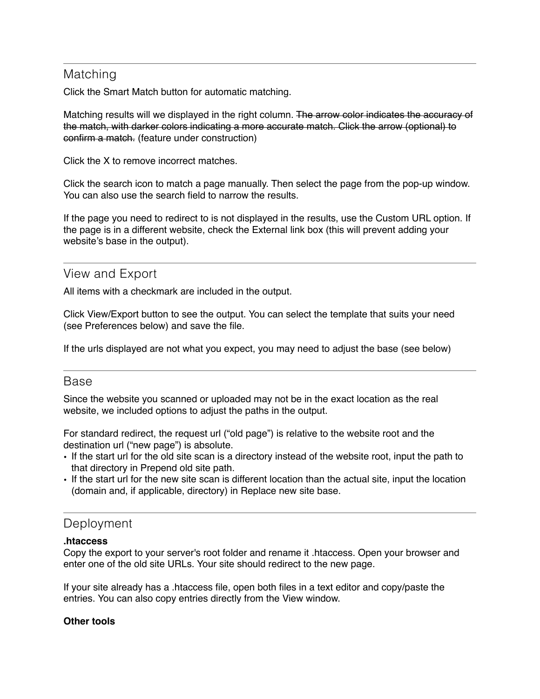## Matching

Click the Smart Match button for automatic matching.

Matching results will we displayed in the right column. The arrow color indicates the accuracy of the match, with darker colors indicating a more accurate match. Click the arrow (optional) to confirm a match. (feature under construction)

Click the X to remove incorrect matches.

Click the search icon to match a page manually. Then select the page from the pop-up window. You can also use the search field to narrow the results.

If the page you need to redirect to is not displayed in the results, use the Custom URL option. If the page is in a different website, check the External link box (this will prevent adding your website's base in the output).

## View and Export

All items with a checkmark are included in the output.

Click View/Export button to see the output. You can select the template that suits your need (see Preferences below) and save the file.

If the urls displayed are not what you expect, you may need to adjust the base (see below)

#### Base

Since the website you scanned or uploaded may not be in the exact location as the real website, we included options to adjust the paths in the output.

For standard redirect, the request url ("old page") is relative to the website root and the destination url ("new page") is absolute.

- If the start url for the old site scan is a directory instead of the website root, input the path to that directory in Prepend old site path.
- If the start url for the new site scan is different location than the actual site, input the location (domain and, if applicable, directory) in Replace new site base.

### **Deployment**

#### **.htaccess**

Copy the export to your server's root folder and rename it .htaccess. Open your browser and enter one of the old site URLs. Your site should redirect to the new page.

If your site already has a .htaccess file, open both files in a text editor and copy/paste the entries. You can also copy entries directly from the View window.

#### **Other tools**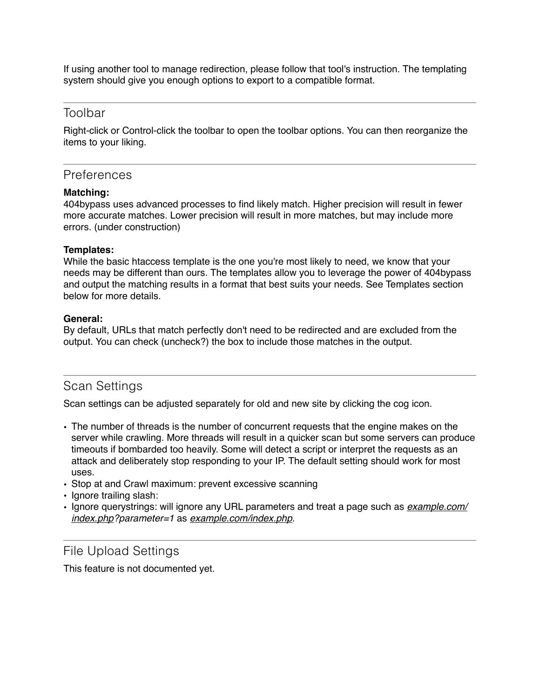If using another tool to manage redirection, please follow that tool's instruction. The templating system should give you enough options to export to a compatible format.

#### Toolbar

Right-click or Control-click the toolbar to open the toolbar options. You can then reorganize the items to your liking.

#### **Preferences**

#### **Matching:**

404bypass uses advanced processes to find likely match. Higher precision will result in fewer more accurate matches. Lower precision will result in more matches, but may include more errors. (under construction)

#### **Templates:**

While the basic htaccess template is the one you're most likely to need, we know that your needs may be different than ours. The templates allow you to leverage the power of 404bypass and output the matching results in a format that best suits your needs. See Templates section below for more details.

#### **General:**

By default, URLs that match perfectly don't need to be redirected and are excluded from the output. You can check (uncheck?) the box to include those matches in the output.

### Scan Settings

Scan settings can be adjusted separately for old and new site by clicking the cog icon.

- The number of threads is the number of concurrent requests that the engine makes on the server while crawling. More threads will result in a quicker scan but some servers can produce timeouts if bombarded too heavily. Some will detect a script or interpret the requests as an attack and deliberately stop responding to your IP. The default setting should work for most uses.
- Stop at and Crawl maximum: prevent excessive scanning
- Ignore trailing slash:
- Ignore querystrings: will ignore any URL parameters and treat a page such as *[example.com/](http://example.com/index.php) [index.php?](http://example.com/index.php)parameter=1* as *[example.com/index.php](http://example.com/index.php)*.

#### File Upload Settings

This feature is not documented yet.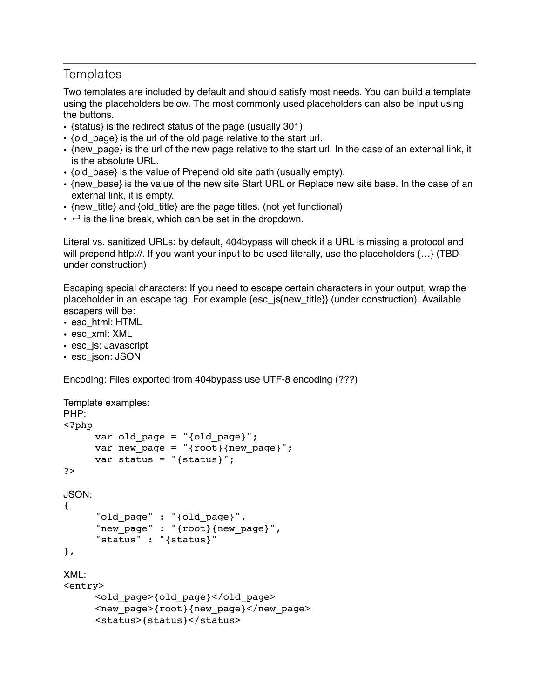## **Templates**

Two templates are included by default and should satisfy most needs. You can build a template using the placeholders below. The most commonly used placeholders can also be input using the buttons.

- {status} is the redirect status of the page (usually 301)
- {old\_page} is the url of the old page relative to the start url.
- {new\_page} is the url of the new page relative to the start url. In the case of an external link, it is the absolute URL.
- {old base} is the value of Prepend old site path (usually empty).
- {new\_base} is the value of the new site Start URL or Replace new site base. In the case of an external link, it is empty.
- {new title} and {old title} are the page titles. (not yet functional)
- $\cdot$   $\leftrightarrow$  is the line break, which can be set in the dropdown.

Literal vs. sanitized URLs: by default, 404bypass will check if a URL is missing a protocol and will prepend http://. If you want your input to be used literally, use the placeholders  $\{...\}$  (TBDunder construction)

Escaping special characters: If you need to escape certain characters in your output, wrap the placeholder in an escape tag. For example {esc\_js{new\_title}} (under construction). Available escapers will be:

- esc\_html: HTML
- esc\_xml: XML
- esc\_js: Javascript
- esc\_json: JSON

Encoding: Files exported from 404bypass use UTF-8 encoding (???)

```
Template examples:
PHP:
<?php
     var old page = "(oldpage)";
     var new page = "{root}{new page}";
     var status = "{status}";
?>
JSON:
{
     "old page" : "{old page}",
     "new page" : "{root}{new page}",
     "status" : "{status}"
},
XML:
<entry>
     <old_page>{old_page}</old_page>
     <new_page>{root}{new_page}</new_page>
     <status>{status}</status>
```